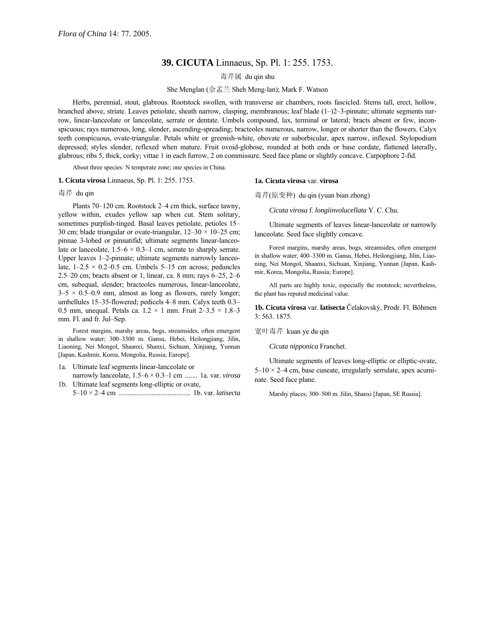## **39. CICUTA** Linnaeus, Sp. Pl. 1: 255. 1753.

毒芹属 du qin shu

She Menglan (佘孟兰 Sheh Meng-lan); Mark F. Watson

Herbs, perennial, stout, glabrous. Rootstock swollen, with transverse air chambers, roots fascicled. Stems tall, erect, hollow, branched above, striate. Leaves petiolate, sheath narrow, clasping, membranous; leaf blade (1–)2–3-pinnate; ultimate segments narrow, linear-lanceolate or lanceolate, serrate or dentate. Umbels compound, lax, terminal or lateral; bracts absent or few, inconspicuous; rays numerous, long, slender, ascending-spreading; bracteoles numerous, narrow, longer or shorter than the flowers. Calyx teeth conspicuous, ovate-triangular. Petals white or greenish-white, obovate or suborbicular, apex narrow, inflexed. Stylopodium depressed; styles slender, reflexed when mature. Fruit ovoid-globose, rounded at both ends or base cordate, flattened laterally, glabrous; ribs 5, thick, corky; vittae 1 in each furrow, 2 on commissure. Seed face plane or slightly concave. Carpophore 2-fid.

About three species: N temperate zone; one species in China.

## **1. Cicuta virosa** Linnaeus, Sp. Pl. 1: 255. 1753.

## 毒芹 du qin

Plants 70–120 cm. Rootstock 2–4 cm thick, surface tawny, yellow within, exudes yellow sap when cut. Stem solitary, sometimes purplish-tinged. Basal leaves petiolate, petioles 15-30 cm; blade triangular or ovate-triangular,  $12-30 \times 10-25$  cm; pinnae 3-lobed or pinnatifid; ultimate segments linear-lanceolate or lanceolate,  $1.5-6 \times 0.3-1$  cm, serrate to sharply serrate. Upper leaves 1–2-pinnate; ultimate segments narrowly lanceolate,  $1-2.5 \times 0.2-0.5$  cm. Umbels 5-15 cm across; peduncles 2.5 $-20$  cm; bracts absent or 1, linear, ca. 8 mm; rays 6 $-25$ , 2 $-6$ cm, subequal, slender; bracteoles numerous, linear-lanceolate,  $3-5 \times 0.5-0.9$  mm, almost as long as flowers, rarely longer; umbellules 15-35-flowered; pedicels 4-8 mm. Calyx teeth 0.3-0.5 mm, unequal. Petals ca.  $1.2 \times 1$  mm. Fruit  $2-3.5 \times 1.8-3$ mm. Fl. and fr. Jul-Sep.

Forest margins, marshy areas, bogs, streamsides, often emergent in shallow water; 300-3300 m. Gansu, Hebei, Heilongjiang, Jilin, Liaoning, Nei Mongol, Shaanxi, Shanxi, Sichuan, Xinjiang, Yunnan [Japan, Kashmir, Korea, Mongolia, Russia; Europe].

- 1a. Ultimate leaf segments linear-lanceolate or narrowly lanceolate,  $1.5-6 \times 0.3-1$  cm ....... 1a. var. *virosa* 1b. Ultimate leaf segments long-elliptic or ovate,
- 5ñ10 × 2ñ4 cm ......................................... 1b. var. *latisecta*

## **1a. Cicuta virosa** var. **virosa**

毒芹(原变种) du qin (yuan bian zhong)

*Cicuta virosa* f. *longiinvolucellata* Y. C. Chu.

Ultimate segments of leaves linear-lanceolate or narrowly lanceolate. Seed face slightly concave.

Forest margins, marshy areas, bogs, streamsides, often emergent in shallow water; 400–3300 m. Gansu, Hebei, Heilongjiang, Jilin, Liaoning, Nei Mongol, Shaanxi, Sichuan, Xinjiang, Yunnan [Japan, Kashmir, Korea, Mongolia, Russia; Europe].

All parts are highly toxic, especially the rootstock; nevertheless, the plant has reputed medicinal value.

1b. Cicuta virosa var. latisecta Čelakovský, Prodr. Fl. Böhmen 3: 563. 1875.

宽叶毒芹 kuan ye du qin

*Cicuta nipponica* Franchet.

Ultimate segments of leaves long-elliptic or elliptic-ovate,  $5-10 \times 2-4$  cm, base cuneate, irregularly serrulate, apex acuminate. Seed face plane.

Marshy places; 300-500 m. Jilin, Shanxi [Japan, SE Russia].